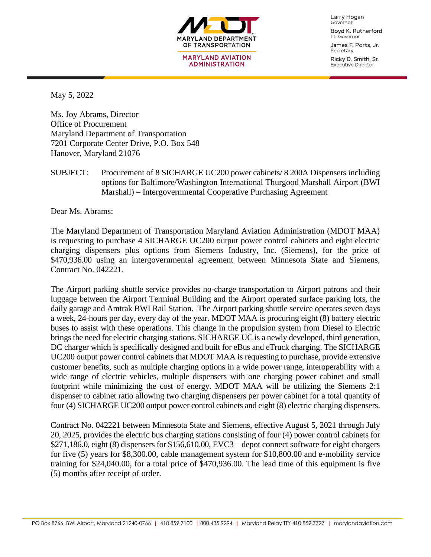

Larry Hogan Governor Boyd K. Rutherford Lt. Governor

James F. Ports, Jr. Secretary

Ricky D. Smith, Sr. **Executive Director** 

May 5, 2022

Ms. Joy Abrams, Director Office of Procurement Maryland Department of Transportation 7201 Corporate Center Drive, P.O. Box 548 Hanover, Maryland 21076

SUBJECT: Procurement of 8 SICHARGE UC200 power cabinets/ 8 200A Dispensers including options for Baltimore/Washington International Thurgood Marshall Airport (BWI Marshall) – Intergovernmental Cooperative Purchasing Agreement

Dear Ms. Abrams:

The Maryland Department of Transportation Maryland Aviation Administration (MDOT MAA) is requesting to purchase 4 SICHARGE UC200 output power control cabinets and eight electric charging dispensers plus options from Siemens Industry, Inc. (Siemens), for the price of \$470,936.00 using an intergovernmental agreement between Minnesota State and Siemens, Contract No. 042221.

The Airport parking shuttle service provides no-charge transportation to Airport patrons and their luggage between the Airport Terminal Building and the Airport operated surface parking lots, the daily garage and Amtrak BWI Rail Station. The Airport parking shuttle service operates seven days a week, 24-hours per day, every day of the year. MDOT MAA is procuring eight (8) battery electric buses to assist with these operations. This change in the propulsion system from Diesel to Electric brings the need for electric charging stations. SICHARGE UC is a newly developed, third generation, DC charger which is specifically designed and built for eBus and eTruck charging. The SICHARGE UC200 output power control cabinets that MDOT MAA is requesting to purchase, provide extensive customer benefits, such as multiple charging options in a wide power range, interoperability with a wide range of electric vehicles, multiple dispensers with one charging power cabinet and small footprint while minimizing the cost of energy. MDOT MAA will be utilizing the Siemens 2:1 dispenser to cabinet ratio allowing two charging dispensers per power cabinet for a total quantity of four (4) SICHARGE UC200 output power control cabinets and eight (8) electric charging dispensers.

Contract No. 042221 between Minnesota State and Siemens, effective August 5, 2021 through July 20, 2025, provides the electric bus charging stations consisting of four (4) power control cabinets for \$271,186.0, eight (8) dispensers for \$156,610.00, EVC3 – depot connect software for eight chargers for five (5) years for \$8,300.00, cable management system for \$10,800.00 and e-mobility service training for \$24,040.00, for a total price of \$470,936.00. The lead time of this equipment is five (5) months after receipt of order.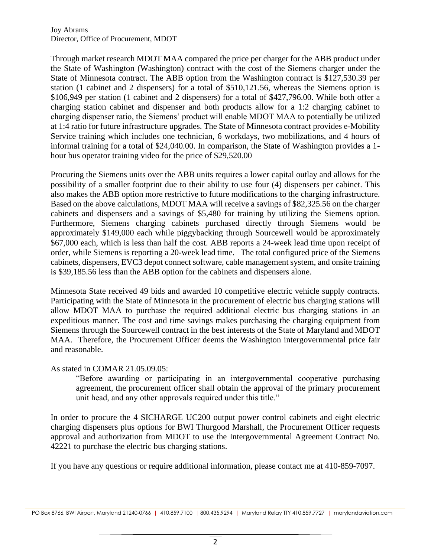Joy Abrams Director, Office of Procurement, MDOT

Through market research MDOT MAA compared the price per charger for the ABB product under the State of Washington (Washington) contract with the cost of the Siemens charger under the State of Minnesota contract. The ABB option from the Washington contract is \$127,530.39 per station (1 cabinet and 2 dispensers) for a total of \$510,121.56, whereas the Siemens option is \$106,949 per station (1 cabinet and 2 dispensers) for a total of \$427,796.00. While both offer a charging station cabinet and dispenser and both products allow for a 1:2 charging cabinet to charging dispenser ratio, the Siemens' product will enable MDOT MAA to potentially be utilized at 1:4 ratio for future infrastructure upgrades. The State of Minnesota contract provides e-Mobility Service training which includes one technician, 6 workdays, two mobilizations, and 4 hours of informal training for a total of \$24,040.00. In comparison, the State of Washington provides a 1 hour bus operator training video for the price of \$29,520.00

Procuring the Siemens units over the ABB units requires a lower capital outlay and allows for the possibility of a smaller footprint due to their ability to use four (4) dispensers per cabinet. This also makes the ABB option more restrictive to future modifications to the charging infrastructure. Based on the above calculations, MDOT MAA will receive a savings of \$82,325.56 on the charger cabinets and dispensers and a savings of \$5,480 for training by utilizing the Siemens option. Furthermore, Siemens charging cabinets purchased directly through Siemens would be approximately \$149,000 each while piggybacking through Sourcewell would be approximately \$67,000 each, which is less than half the cost. ABB reports a 24-week lead time upon receipt of order, while Siemens is reporting a 20-week lead time. The total configured price of the Siemens cabinets, dispensers, EVC3 depot connect software, cable management system, and onsite training is \$39,185.56 less than the ABB option for the cabinets and dispensers alone.

Minnesota State received 49 bids and awarded 10 competitive electric vehicle supply contracts. Participating with the State of Minnesota in the procurement of electric bus charging stations will allow MDOT MAA to purchase the required additional electric bus charging stations in an expeditious manner. The cost and time savings makes purchasing the charging equipment from Siemens through the Sourcewell contract in the best interests of the State of Maryland and MDOT MAA. Therefore, the Procurement Officer deems the Washington intergovernmental price fair and reasonable.

## As stated in COMAR 21.05.09.05:

"Before awarding or participating in an intergovernmental cooperative purchasing agreement, the procurement officer shall obtain the approval of the primary procurement unit head, and any other approvals required under this title."

In order to procure the 4 SICHARGE UC200 output power control cabinets and eight electric charging dispensers plus options for BWI Thurgood Marshall, the Procurement Officer requests approval and authorization from MDOT to use the Intergovernmental Agreement Contract No. 42221 to purchase the electric bus charging stations.

If you have any questions or require additional information, please contact me at 410-859-7097.

PO Box 8766, BWI Airport, Maryland 21240-0766 | 410.859.7100 | 800.435.9294 | Maryland Relay TTY 410.859.7727 | marylandaviation.com